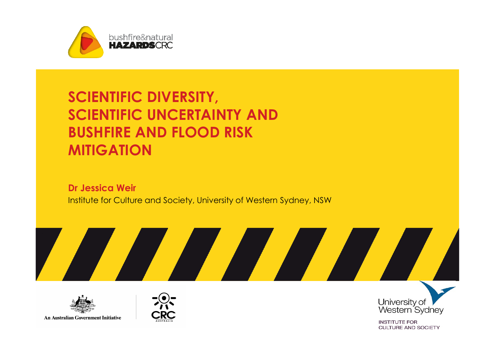

### SCIENTIFIC DIVERSITY, SCIENTIFIC UNCERTAINTY AND BUSHFIRE AND FLOOD RISK **MITIGATION**

Dr Jessica Weir Institute for Culture and Society, University of Western Sydney, NSW



An Australian Government Initiative





**INSTITUTE FOR CULTURE AND SOCIETY**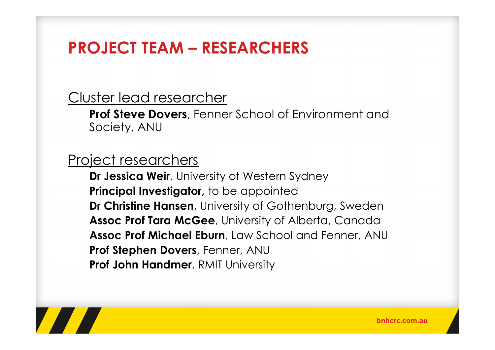# PROJECT TEAM – RESEARCHERS

#### Cluster lead researcher

Prof Steve Dovers, Fenner School of Environment and Society, ANU

#### Project researchers

Dr Jessica Weir, University of Western Sydney Principal Investigator, to be appointed **Dr Christine Hansen**, University of Gothenburg, Sweden Assoc Prof Tara McGee, University of Alberta, Canada Assoc Prof Michael Eburn, Law School and Fenner, ANU Prof Stephen Dovers, Fenner, ANU Prof John Handmer, RMIT University

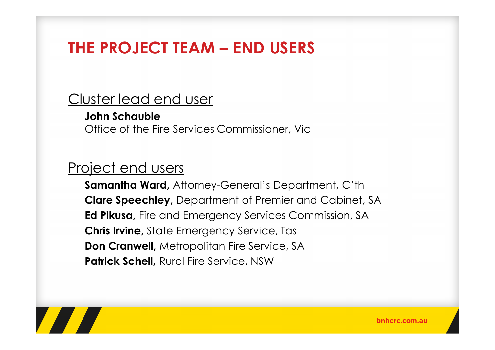# THE PROJECT TEAM – END USERS

#### Cluster lead end user

John SchaubleOffice of the Fire Services Commissioner, Vic

#### Project end users

Samantha Ward, Attorney-General's Department, C'thClare Speechley, Department of Premier and Cabinet, SA Ed Pikusa, Fire and Emergency Services Commission, SA Chris Irvine, State Emergency Service, Tas**Don Cranwell, Metropolitan Fire Service, SA** Patrick Schell, Rural Fire Service, NSW



bnhcrc.com.au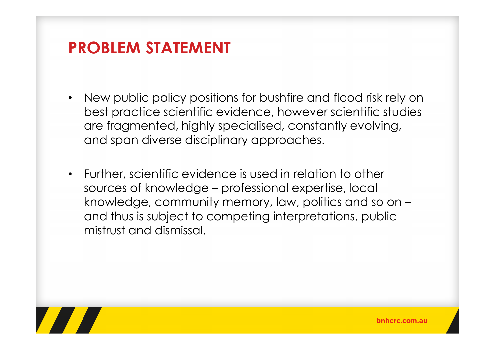## PROBLEM STATEMENT

- • New public policy positions for bushfire and flood risk rely on best practice scientific evidence, however scientific studies are fragmented, highly specialised, constantly evolving, and span diverse disciplinary approaches.
- • Further, scientific evidence is used in relation to other sources of knowledge – professional expertise, local knowledge, community memory, law, politics and so on –and thus is subject to competing interpretations, public mistrust and dismissal.

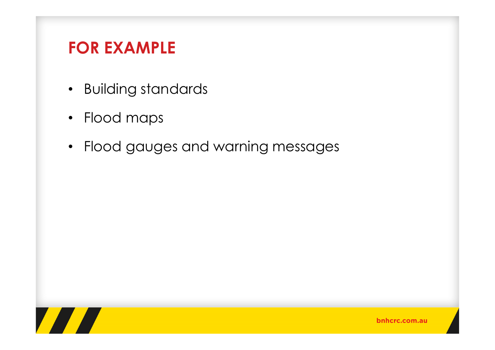# FOR EXAMPLE

- Building standards
- Flood maps
- Flood gauges and warning messages

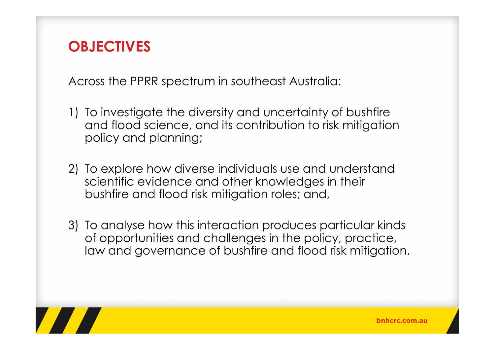### **OBJECTIVES**

Across the PPRR spectrum in southeast Australia:

- 1) To investigate the diversity and uncertainty of bushfire and flood science, and its contribution to risk mitigation policy and planning;
- 2) To explore how diverse individuals use and understand scientific evidence and other knowledges in their bushfire and flood risk mitigation roles; and,
- 3) To analyse how this interaction produces particular kinds of opportunities and challenges in the policy, practice, law and governance of bushfire and flood risk mitigation.

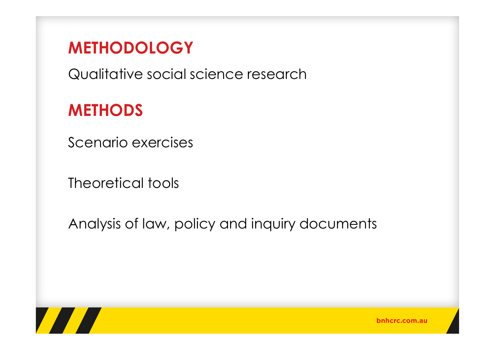## METHODOLOGY

Qualitative social science research

# **METHODS**

Scenario exercises

Theoretical tools

Analysis of law, policy and inquiry documents



bnhcrc.com.au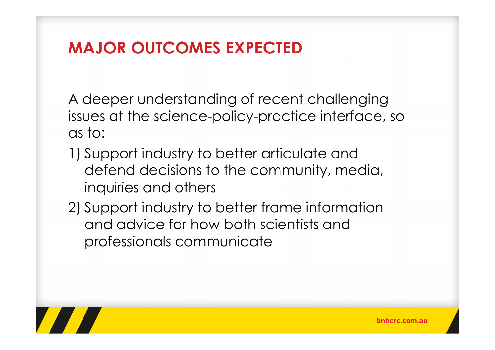# MAJOR OUTCOMES EXPECTED

A deeper understanding of recent challenging issues at the science-policy-practice interface, soas to:

- 1) Support industry to better articulate and defend decisions to the community, media, inquiries and others
- 2) Support industry to better frame information and advice for how both scientists and professionals communicate